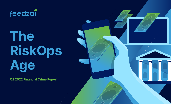

# **The RiskOps Age**

**Q2 2022 Financial Crime Report**

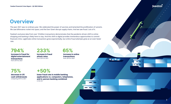# **Overview**

The year 2021 was no ordinary year. We celebrated the power of vaccines and lamented the proliferation of variants. We saw billionaires rocket into space, and the Ever Given disrupt supply chains. And we saw fraud. Lots of it.

Feedzai's exclusive data from over 18 billion transactions demonstrates that the pandemic-driven shift to online shopping and banking is likely here to stay. And this shift to digital provides tremendous opportunities to commit financial crime. Legitimate online transactions grew exponentially, but online fraud attempts grew at an even faster rate.

**794% increase in fraud for digital entertainment transactions**  from 2019 to 2021

**233% increase in fraud attack rates**  from 2019 to 2021

**65% increase in online transactions**  from 2019 to 2021

E CLEA

**75% decrease in US cash withdrawals**  comparing 2019 to 2021

### **+50%**

**lower fraud rate in mobile banking applications vs. computers, telephones, and in-person banking combined**  in the UK

feedzai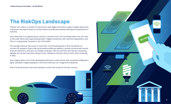# **The RiskOps Landscape**

"Online" isn't a place or activity; it's how we live. Each digital transaction creates multiple data points. Customers now expect banks to use their data to provide personalized offerings and experiences in real time.

Every data point is an opportunity to commit or prevent fraud. This has always been true, but never at this scale. We've seen exponential growth in digital transactions with real-time expectations, and there is no going back; the genie is out of the bottle.

The average American has access to more than 10 connected devices in their household. It's common for people to have a few social media profiles per platform, possess accounts with several financial institutions, and work on multiple computers. We not only have each person transacting digitally, but we also have them doing so from a plethora of devices and accounts. We're drowning in data.

Now imagine when much of the developed world lives in smart homes with connected refrigerators, lights, doorbells. Imagine paying for a drive-thru with your car. Imagine the metaverse.

ど

And in financial services, we're just starting to scratch the surface of non-fiat currency.

**PAY NOW**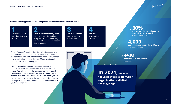### feedzal

#### **Without a new approach, we face the perfect storm for fraud and financial crime:**

Customers expect **real-time payment**  transactions.

FIs must **vet the identity** of their

customers regardless of how many devices or accounts they use, and all without ever meeting them in person.

Fraud and financial

crime teams are **distributed.**

**Non-fiat currency has arrived.**

**4,000 social engineering attacks in 10 days** (online banking fraud) **+5M cards tested over 4 months** (BIN attack)

 $1 2 3 4 30%$ **of attempted transactions were fraudulent over 2 months** (card not present fraud)

From a fraudster's point of view, it's the best case scenario. For risk teams, it's a tipping point. The year 2021 ushered in the age of RiskOps. Now is the time to fundamentally change how organizations manage the risk of fraud and financial crime to thrive in the coming years.

Every successful retailer and bank must accept that their online transaction volume will more than quadruple in the future. This will happen faster than their current methods can manage. That's why now is the time to connect teams, connect data, and connect risk. Hire the right people, create the right processes, and use the most advanced technology to safeguard the business you have today, and the business you build tomorrow.

**In 2021, we saw focused attacks on major organizations' digital transactions.**

**4**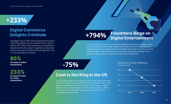# **+233%**

## **Digital Commerce Delights Criminals**

The biggest story of 2021 was the substantial increase in online fraud attacks. We see a drastic rise from 2019 to 2020 to 2021. While online transactions increased by an impressive 65%, this number is dwarfed by online fraud attacks, which grew 233% from 2019 through 2021. This is a trend we expect to continue.

**65% increase in online transactions** 

**233%**

**increase in fraud for online transactions**

#### **+794% Fraudsters Binge on Digital Entertainment**

Consumers weren't the only ones binging on digital entertainment; fraudsters were too. Criminals like to hide in plain sight, and the sheer number of transactions for digital entertainment combined with the low dollar amount per transaction provides fraudsters with an ideal environment to test stolen cards along with other scams. We saw a 794% increase in fraud attacks from 2019 through 2021.

**-75%**

## **Cash is Not King in the US**

In our previous Financial Crime Report, we focused on the trend away from cash. Now we see that cash didn't bounce back even when many pandemic-related restrictions were lifted. In fact, we saw a steeper decline in U.S. cash withdrawals comparing 2021 to 2020 vs. 2019 to 2020. Overall, U.S. cash withdrawals have decreased 75% from pre-pandemic levels to now. **2019 2020 2021**

Number of US Cash Withdraws Normalized to 2019

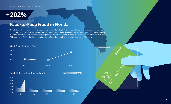#### **Feedzai Financial Crime Report - Q2 2022 Edition**

# **+202%**

### **Face-to-Face Fraud in Florida**

Florida takes the top spot for in-store debit card fraud. Interestingly, the number of in-store card transactions showed no significant change, making the massive spike in card-present fraud attacks particularly noteworthy. Looking at the data more closely, we see that this is not related to gas pump purchases, but rather in-store and often at 24-hour convenience stores. This shows that EMV technology is helping to curb fraud, but fraudsters are gaining access to PIN codes.

**2019 2021**



Top 5 States for Card Present Fraud

Card Present Fraud in Florida

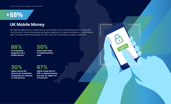**Feedzai Financial Crime Report - Q2 2022 Edition**

# **+88%**

### **UK Mobile Money**

We might be addicted to our mobile devices, but fraudsters aren't. Fraud attacks were more than 50% more common in the UK via desktops and laptops, telephone, or in-person combined vs. mobile banking apps. Put simply, mobile banking apps are safer; consumers should be encouraged to use them.

**TRANSFER**

**88% of all banking happened via a mobile device** 

**50% lower fraud rates in mobile banking apps**

**30% higher pound (£) amount per fraudulent transaction for Android vs. iOS devices**



**higher fraud rate for iOS vs. Android device, but only 3% higher for £ fraud rate**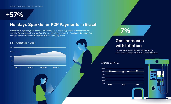

### **Holidays Sparkle for P2P Payments in Brazil**

Brazil's robust digital payment landscape embraced peer-to-peer (P2P) payment methods for holiday spending. We saw a steady increase from May through July and a rapid rise from July to November. Post holidays, adoption continued to be higher than the late spring period.



# **7%**

### **Gas Increases with Inflation**

Tracking perfectly with inflation, we saw U.S. gas prices increase almost 7% in 2021 compared to 2020.





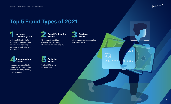

**ANK** 

**00 0000** 

EG

1234 5678

# **Top 5 Fraud Types of 2021**



A form of identity theft; fraudsters change account information, including passwords, and "take over" the account.



Victims are tricked into handing over personally identifiable information (PII).



Fraudsters pretend to be legitimate actors and trick victims into compromising their accounts.



Text or SMS version of a phishing email.



Victims purchase goods online that never arrive.



**9**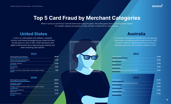

# **Top 5 Card Fraud by Merchant Categories**

When it comes to card fraud, criminals know how to play the game. The online game, that is. Card fraud was highest for retailers selling online games in 2020 and 2021 in both the U.S. and Australia.

In the U.S., online games and software, computer services, and money exchange services made the fraud list two years in a row. In 2021, ATM transactions and digital entertainment were replaced by gas stations and video streaming subscriptions.

#### **2021**

| Online games and software                             | 38.4% |  |
|-------------------------------------------------------|-------|--|
| Video streaming subscriptions                         | 31.8% |  |
| Computer services                                     | 13.0% |  |
| <b>Gas stations</b>                                   | 9.0%  |  |
| Foreign currency, money orders, and travelers' checks | 7.8%  |  |

#### Online games and software **40.8%** Computer services **20.6%** Foreign currency, money orders, and travelers' checks **15.8% 2020**

| Digital entertainment | 13.1% |
|-----------------------|-------|
| ATM transactions      | 9.7%  |



In Australia, online games, miscellaneous and specialty retail stores, and dating services made the list in 2020 and 2021. However, digital entertainment and taxis replaced restaurants and computer software in 2021.

#### **2021**

| Online games                              | 31.5% |
|-------------------------------------------|-------|
| Digital entertainment                     | 18.3% |
| <b>Taxis</b>                              | 17.6% |
| Dating services                           | 16.4% |
| Miscellaneous and specialty retail stores | 16.2% |

| 2020                                      |       |
|-------------------------------------------|-------|
| Online games                              | 23.4% |
| Miscellaneous and specialty retail stores | 19.9% |
| <b>Restaurants</b>                        | 19.7% |
| Computer software                         | 18.8% |
| <b>Dating services</b>                    | 18.3% |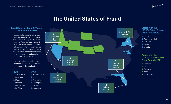

# **The United States of Fraud**

#### **Fraud Rates for Top U.S. Tourist Destinations in 2021**

Fraudsters love tourist towns, and even a pandemic can't stop them. We've ranked the top six U.S. tourist cities by fraud rate and crowned Miami with the dubious honor of highest fraud rate ― a title that had gone to San Francisco two years in a row. Next, we've noted the increase or decrease in fraud per city compared to 2020.

Here's a look at the rankings prepandemic vs. the first and second years of the pandemic.

#### **2019**

**1.** San Francisco **2.** New York

- **3.** Miami
- **4.** Orlando
- **5.** Los Angeles
- **6.** Las Vegas
- **2.** Miami **3.** New York **4.** Los Angeles **5.** Orlando **6.** Las Vegas

**1.** San Francisco

**2020**



#### **States with the HIGHEST Card Present Fraud Rates in 2021**

- **1.** Florida
- **2.** Washington, D.C.
- **3.** New York
- **4.** Maryland
- **5.** Nevada

#### **States with the LOWEST Card Present Fraud Rates in 2021**

- **1.** Nebraska
- **2.** Iowa
- **3.** Wyoming
- **4.** Idaho
- **5.** North Dakota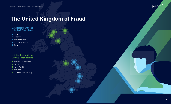

#### **U.K. Regions with the HIGHEST Fraud Rates**

- **1.** Poole
- **2.** Leicester
- **3.** West Berkshire
- **4.** Buckinghamshire
- **5.** Derby

#### **U.K. Regions with the LOWEST Fraud Rates**

- **1.** West Dunbartonshire
- **2.** East Lothian
- **3.** North Ayrshire
- **4.** Wrexham
- **5.** Dumfries and Galloway

feedzai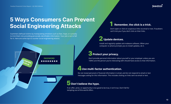**LOG IN**

# **5 Ways Consumers Can Prevent Social Engineering Attacks**

Scammers defraud victims by manipulating emotions such as fear, hope, or curiosity to trick them into providing personally identifiable information. Your job is not to fall for it. Here are some tips to counter social engineering attacks:

**\*ONFIRMAL \*\*\*\*\*\*\*\*\*** 

**PASSWORD**

#### 1 **Remember, the click is a trick.**

Don't open or click on suspicious links via email or text. Fraudsters can't trick you if you don't click on their links.

### 2 **Update devices.**

Install and regularly update anti-malware software. When your computer or phone prompts you to install updates, do it.

#### 3**Protect your privacy.**

Don't provide personal information about yourself or your employer unless you are 100% sure the person you're interacting with should have access to that information.

### 4**Use multi-factor authentication.**

Do not reveal personal or financial information in email, and do not respond to email or text messages asking for this information. This includes clicking on links sent via email or text.

#### 5 **Don't believe the hype.**

If an offer, prize, or opportunity is too good to be true, it isn't true. Don't fall for tempting out-of-this-world offers.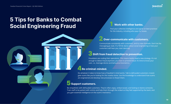# **5 Tips for Banks to Combat Social Engineering Fraud**

Pool your collective intelligence and agree on best practices for the industry, including who pays for losses.

#### **Over-communicate with customers.**

Communicate consistently with customers, and try new channels. Don't let the messaging go stale. If a TikTok dance about social engineering is how your customers will hear you, start dancing!

#### 3**Shift from fraud detection to prevention.**

Fraudsters are scaling their operations. This means banks need a new strategy. It's not enough to detect fraud anymore; you have to prevent fraud. It's time to know your user, i.e., leverage device and behavioral biometrics.

#### 4**Be criminal-minded.**

Do whatever it takes to know how a fraudster's mind works. Talk to defrauded customers; investigate scams like you're looking for the rosetta stone. Use the knowledge to understand how scams are engineered and develop new processes to thwart them.

#### 5**Support customers.**

Be empathetic with defrauded customers. They're often angry, embarrassed, and looking to blame someone. Train staff to be patient with victims and help them through the ordeal so they feel supported by the bank, and you gain essential intelligence on the scam's mechanics.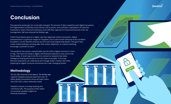# **Conclusion**

The payments landscape has irreversibly changed. The amount of data created by each digital transaction, the fragmentation of identity across devices and accounts, and customers' expectations of real-time transactions means financial institutions must shift their approach to fraud and financial crime risk management. We have entered the RiskOps age.

**TRANSFER**

feedzai

Online fraud attacks grew at a higher rate than legitimate online transactions. Digital entertainment is a particular target for fraudsters, but in-store fraud continues to be a problem. Fraudsters' current favorite schemes are ATO and social engineering attacks. The good news is that mobile banking is proving safer than online, telephone, or in-person banking; encourage customers to use it.

The pandemic has proven unpredictable, but the shift to digital commerce is here to stay. The future of money is digital, and financial institutions must secure that future today. A smart way to do this is to connect to networks that allow intelligence sharing and access to as much data as possible. In this way, financial institutions can understand and manage today's market risks while preparing for digital currencies and tomorrow's new, emerging threats.

#### **Methodology**

The *Q2 2022 Financial Crime Report: The RiskOps Age* captures Feedzai's exclusive data from over 18 billion global transactions across all major industries from 2021 unless otherwise noted.

Feedzai's mission is to keep banking and commerce safe. The purpose of this report is to provide valuable insights for financial institutions.